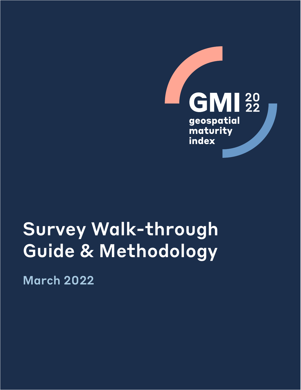

# Survey Walk-through Guide & Methodology

March 2022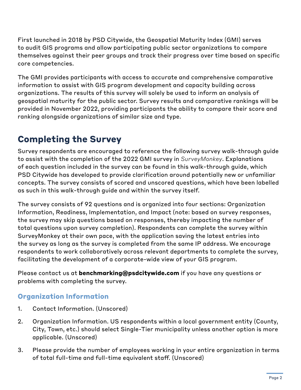First launched in 2018 by PSD Citywide, the Geospatial Maturity Index (GMI) serves to audit GIS programs and allow participating public sector organizations to compare themselves against their peer groups and track their progress over time based on specific core competencies.

The GMI provides participants with access to accurate and comprehensive comparative information to assist with GIS program development and capacity building across organizations. The results of this survey will solely be used to inform an analysis of geospatial maturity for the public sector. Survey results and comparative rankings will be provided in November 2022, providing participants the ability to compare their score and ranking alongside organizations of similar size and type.

# **Completing the Survey**

Survey respondents are encouraged to reference the following survey walk-through guide to assist with the completion of the 2022 GMI survey in *SurveyMonkey*. Explanations of each question included in the survey can be found in this walk-through guide, which PSD Citywide has developed to provide clarification around potentially new or unfamiliar concepts. The survey consists of scored and unscored questions, which have been labelled as such in this walk-through guide and within the survey itself.

The survey consists of 92 questions and is organized into four sections: Organization Information, Readiness, Implementation, and Impact (note: based on survey responses, the survey may skip questions based on responses, thereby impacting the number of total questions upon survey completion). Respondents can complete the survey within SurveyMonkey at their own pace, with the application saving the latest entries into the survey as long as the survey is completed from the same IP address. We encourage respondents to work collaboratively across relevant departments to complete the survey, facilitating the development of a corporate-wide view of your GIS program.

Please contact us at **[benchmarking@psdcitywide.com](mailto:benchmarking@psdcitywide.com)** if you have any questions or problems with completing the survey.

# **Organization Information**

- 1. Contact Information. (Unscored)
- 2. Organization Information. US respondents within a local government entity (County, City, Town, etc.) should select Single-Tier municipality unless another option is more applicable. (Unscored)
- 3. Please provide the number of employees working in your entire organization in terms of total full-time and full-time equivalent staff. (Unscored)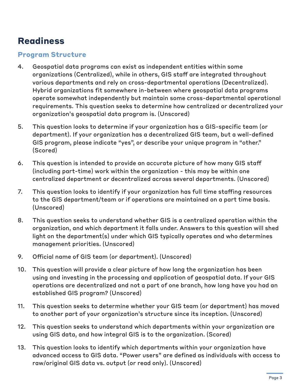# **Readiness**

# **Program Structure**

- 4. Geospatial data programs can exist as independent entities within some organizations (Centralized), while in others, GIS staff are integrated throughout various departments and rely on cross-departmental operations (Decentralized). Hybrid organizations fit somewhere in-between where geospatial data programs operate somewhat independently but maintain some cross-departmental operational requirements. This question seeks to determine how centralized or decentralized your organization's geospatial data program is. (Unscored)
- 5. This question looks to determine if your organization has a GIS-specific team (or department). If your organization has a decentralized GIS team, but a well-defined GIS program, please indicate "yes", or describe your unique program in "other." (Scored)
- 6. This question is intended to provide an accurate picture of how many GIS staff (including part-time) work within the organization - this may be within one centralized department or decentralized across several departments. (Unscored)
- 7. This question looks to identify if your organization has full time staffing resources to the GIS department/team or if operations are maintained on a part time basis. (Unscored)
- 8. This question seeks to understand whether GIS is a centralized operation within the organization, and which department it falls under. Answers to this question will shed light on the department(s) under which GIS typically operates and who determines management priorities. (Unscored)
- 9. Official name of GIS team (or department). (Unscored)
- 10. This question will provide a clear picture of how long the organization has been using and investing in the processing and application of geospatial data. If your GIS operations are decentralized and not a part of one branch, how long have you had an established GIS program? (Unscored)
- 11. This question seeks to determine whether your GIS team (or department) has moved to another part of your organization's structure since its inception. (Unscored)
- 12. This question seeks to understand which departments within your organization are using GIS data, and how integral GIS is to the organization. (Scored)
- 13. This question looks to identify which departments within your organization have advanced access to GIS data. "Power users" are defined as individuals with access to raw/original GIS data vs. output (or read only). (Unscored)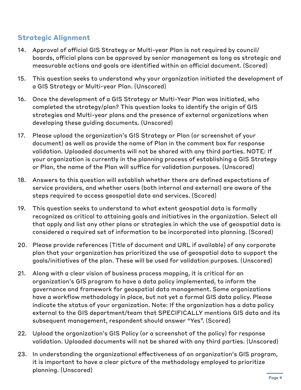# **Strategic Alignment**

- 14. Approval of official GIS Strategy or Multi-year Plan is not required by council/ boards, official plans can be approved by senior management as long as strategic and measurable actions and goals are identified within an official document. (Scored)
- 15. This question seeks to understand why your organization initiated the development of a GIS Strategy or Multi-year Plan. (Unscored)
- 16. Once the development of a GIS Strategy or Multi-Year Plan was initiated, who completed the strategy/plan? This question looks to identify the origin of GIS strategies and Multi-year plans and the presence of external organizations when developing these guiding documents. (Unscored)
- 17. Please upload the organization's GIS Strategy or Plan (or screenshot of your document) as well as provide the name of Plan in the comment box for response validation. Uploaded documents will not be shared with any third parties. NOTE: If your organization is currently in the planning process of establishing a GIS Strategy or Plan, the name of the Plan will suffice for validation purposes. (Unscored)
- 18. Answers to this question will establish whether there are defined expectations of service providers, and whether users (both internal and external) are aware of the steps required to access geospatial data and services. (Scored)
- 19. This question seeks to understand to what extent geospatial data is formally recognized as critical to attaining goals and initiatives in the organization. Select all that apply and list any other plans or strategies in which the use of geospatial data is considered a required set of information to be incorporated into planning. (Scored)
- 20. Please provide references (Title of document and URL if available) of any corporate plan that your organization has prioritized the use of geospatial data to support the goals/initiatives of the plan. These will be used for validation purposes. (Unscored)
- 21. Along with a clear vision of business process mapping, it is critical for an organization's GIS program to have a data policy implemented, to inform the governance and framework for geospatial data management. Some organizations have a workflow methodology in place, but not yet a formal GIS data policy. Please indicate the status of your organization. Note: If the organization has a data policy external to the GIS department/team that SPECIFICALLY mentions GIS data and its subsequent management, respondent should answer "Yes". (Scored)
- 22. Upload the organization's GIS Policy (or a screenshot of the policy) for response validation. Uploaded documents will not be shared with any third parties. (Unscored)
- 23. In understanding the organizational effectiveness of an organization's GIS program, it is important to have a clear picture of the methodology employed to prioritize planning. (Unscored)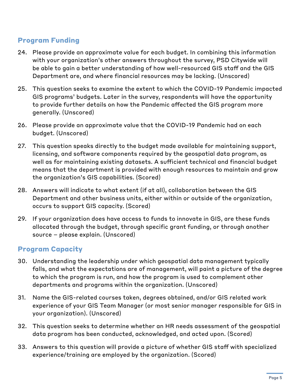# **Program Funding**

- 24. Please provide an approximate value for each budget. In combining this information with your organization's other answers throughout the survey, PSD Citywide will be able to gain a better understanding of how well-resourced GIS staff and the GIS Department are, and where financial resources may be lacking. (Unscored)
- 25. This question seeks to examine the extent to which the COVID-19 Pandemic impacted GIS programs' budgets. Later in the survey, respondents will have the opportunity to provide further details on how the Pandemic affected the GIS program more generally. (Unscored)
- 26. Please provide an approximate value that the COVID-19 Pandemic had on each budget. (Unscored)
- 27. This question speaks directly to the budget made available for maintaining support, licensing, and software components required by the geospatial data program, as well as for maintaining existing datasets. A sufficient technical and financial budget means that the department is provided with enough resources to maintain and grow the organization's GIS capabilities. (Scored)
- 28. Answers will indicate to what extent (if at all), collaboration between the GIS Department and other business units, either within or outside of the organization, occurs to support GIS capacity. (Scored)
- 29. If your organization does have access to funds to innovate in GIS, are these funds allocated through the budget, through specific grant funding, or through another source – please explain. (Unscored)

# **Program Capacity**

- 30. Understanding the leadership under which geospatial data management typically falls, and what the expectations are of management, will paint a picture of the degree to which the program is run, and how the program is used to complement other departments and programs within the organization. (Unscored)
- 31. Name the GIS-related courses taken, degrees obtained, and/or GIS related work experience of your GIS Team Manager (or most senior manager responsible for GIS in your organization). (Unscored)
- 32. This question seeks to determine whether an HR needs assessment of the geospatial data program has been conducted, acknowledged, and acted upon. (Scored)
- 33. Answers to this question will provide a picture of whether GIS staff with specialized experience/training are employed by the organization. (Scored)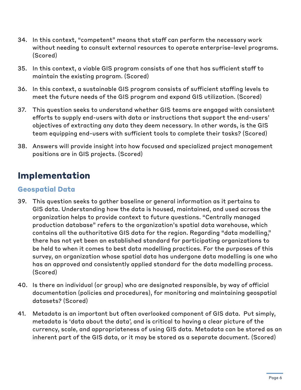- 34. In this context, "competent" means that staff can perform the necessary work without needing to consult external resources to operate enterprise-level programs. (Scored)
- 35. In this context, a viable GIS program consists of one that has sufficient staff to maintain the existing program. (Scored)
- 36. In this context, a sustainable GIS program consists of sufficient staffing levels to meet the future needs of the GIS program and expand GIS utilization. (Scored)
- 37. This question seeks to understand whether GIS teams are engaged with consistent efforts to supply end-users with data or instructions that support the end-users' objectives of extracting any data they deem necessary. In other words, is the GIS team equipping end-users with sufficient tools to complete their tasks? (Scored)
- 38. Answers will provide insight into how focused and specialized project management positions are in GIS projects. (Scored)

# **Implementation**

### **Geospatial Data**

- 39. This question seeks to gather baseline or general information as it pertains to GIS data. Understanding how the data is housed, maintained, and used across the organization helps to provide context to future questions. "Centrally managed production database" refers to the organization's spatial data warehouse, which contains all the authoritative GIS data for the region. Regarding "data modelling," there has not yet been an established standard for participating organizations to be held to when it comes to best data modelling practices. For the purposes of this survey, an organization whose spatial data has undergone data modelling is one who has an approved and consistently applied standard for the data modelling process. (Scored)
- 40. Is there an individual (or group) who are designated responsible, by way of official documentation (policies and procedures), for monitoring and maintaining geospatial datasets? (Scored)
- 41. Metadata is an important but often overlooked component of GIS data. Put simply, metadata is 'data about the data', and is critical to having a clear picture of the currency, scale, and appropriateness of using GIS data. Metadata can be stored as an inherent part of the GIS data, or it may be stored as a separate document. (Scored)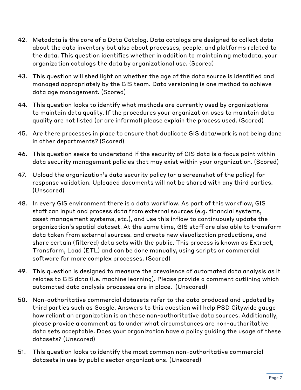- 42. Metadata is the core of a Data Catalog. Data catalogs are designed to collect data about the data inventory but also about processes, people, and platforms related to the data. This question identifies whether in addition to maintaining metadata, your organization catalogs the data by organizational use. (Scored)
- 43. This question will shed light on whether the age of the data source is identified and managed appropriately by the GIS team. Data versioning is one method to achieve data age management. (Scored)
- 44. This question looks to identify what methods are currently used by organizations to maintain data quality. If the procedures your organization uses to maintain data quality are not listed (or are informal) please explain the process used. (Scored)
- 45. Are there processes in place to ensure that duplicate GIS data/work is not being done in other departments? (Scored)
- 46. This question seeks to understand if the security of GIS data is a focus point within data security management policies that may exist within your organization. (Scored)
- 47. Upload the organization's data security policy (or a screenshot of the policy) for response validation. Uploaded documents will not be shared with any third parties. (Unscored)
- 48. In every GIS environment there is a data workflow. As part of this workflow, GIS staff can input and process data from external sources (e.g. financial systems, asset management systems, etc.), and use this inflow to continuously update the organization's spatial dataset. At the same time, GIS staff are also able to transform data taken from external sources, and create new visualization productions, and share certain (filtered) data sets with the public. This process is known as Extract, Transform, Load (ETL) and can be done manually, using scripts or commercial software for more complex processes. (Scored)
- 49. This question is designed to measure the prevalence of automated data analysis as it relates to GIS data (I.e. machine learning). Please provide a comment outlining which automated data analysis processes are in place. (Unscored)
- 50. Non-authoritative commercial datasets refer to the data produced and updated by third parties such as Google. Answers to this question will help PSD Citywide gauge how reliant an organization is on these non-authoritative data sources. Additionally, please provide a comment as to under what circumstances are non-authoritative data sets acceptable. Does your organization have a policy guiding the usage of these datasets? (Unscored)
- 51. This question looks to identify the most common non-authoritative commercial datasets in use by public sector organizations. (Unscored)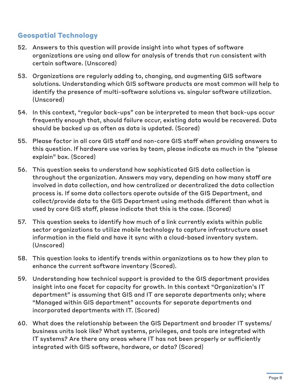# **Geospatial Technology**

- 52. Answers to this question will provide insight into what types of software organizations are using and allow for analysis of trends that run consistent with certain software. (Unscored)
- 53. Organizations are regularly adding to, changing, and augmenting GIS software solutions. Understanding which GIS software products are most common will help to identify the presence of multi-software solutions vs. singular software utilization. (Unscored)
- 54. In this context, "regular back-ups" can be interpreted to mean that back-ups occur frequently enough that, should failure occur, existing data would be recovered. Data should be backed up as often as data is updated. (Scored)
- 55. Please factor in all core GIS staff and non-core GIS staff when providing answers to this question. If hardware use varies by team, please indicate as much in the "please explain" box. (Scored)
- 56. This question seeks to understand how sophisticated GIS data collection is throughout the organization. Answers may vary, depending on how many staff are involved in data collection, and how centralized or decentralized the data collection process is. If some data collectors operate outside of the GIS Department, and collect/provide data to the GIS Department using methods different than what is used by core GIS staff, please indicate that this is the case. (Scored)
- 57. This question seeks to identify how much of a link currently exists within public sector organizations to utilize mobile technology to capture infrastructure asset information in the field and have it sync with a cloud-based inventory system. (Unscored)
- 58. This question looks to identify trends within organizations as to how they plan to enhance the current software inventory (Scored).
- 59. Understanding how technical support is provided to the GIS department provides insight into one facet for capacity for growth. In this context "Organization's IT department" is assuming that GIS and IT are separate departments only; where "Managed within GIS department" accounts for separate departments and incorporated departments with IT. (Scored)
- 60. What does the relationship between the GIS Department and broader IT systems/ business units look like? What systems, privileges, and tools are integrated with IT systems? Are there any areas where IT has not been properly or sufficiently integrated with GIS software, hardware, or data? (Scored)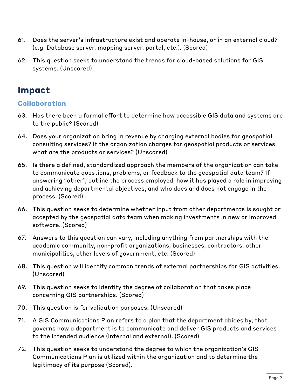- 61. Does the server's infrastructure exist and operate in-house, or in an external cloud? (e.g. Database server, mapping server, portal, etc.). (Scored)
- 62. This question seeks to understand the trends for cloud-based solutions for GIS systems. (Unscored)

# **Impact**

# **Collaboration**

- 63. Has there been a formal effort to determine how accessible GIS data and systems are to the public? (Scored)
- 64. Does your organization bring in revenue by charging external bodies for geospatial consulting services? If the organization charges for geospatial products or services, what are the products or services? (Unscored)
- 65. Is there a defined, standardized approach the members of the organization can take to communicate questions, problems, or feedback to the geospatial data team? If answering "other", outline the process employed, how it has played a role in improving and achieving departmental objectives, and who does and does not engage in the process. (Scored)
- 66. This question seeks to determine whether input from other departments is sought or accepted by the geospatial data team when making investments in new or improved software. (Scored)
- 67. Answers to this question can vary, including anything from partnerships with the academic community, non-profit organizations, businesses, contractors, other municipalities, other levels of government, etc. (Scored)
- 68. This question will identify common trends of external partnerships for GIS activities. (Unscored)
- 69. This question seeks to identify the degree of collaboration that takes place concerning GIS partnerships. (Scored)
- 70. This question is for validation purposes. (Unscored)
- 71. A GIS Communications Plan refers to a plan that the department abides by, that governs how a department is to communicate and deliver GIS products and services to the intended audience (internal and external). (Scored)
- 72. This question seeks to understand the degree to which the organization's GIS Communications Plan is utilized within the organization and to determine the legitimacy of its purpose (Scored).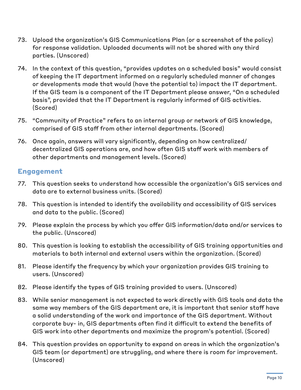- 73. Upload the organization's GIS Communications Plan (or a screenshot of the policy) for response validation. Uploaded documents will not be shared with any third parties. (Unscored)
- 74. In the context of this question, "provides updates on a scheduled basis" would consist of keeping the IT department informed on a regularly scheduled manner of changes or developments made that would (have the potential to) impact the IT department. If the GIS team is a component of the IT Department please answer, "On a scheduled basis", provided that the IT Department is regularly informed of GIS activities. (Scored)
- 75. "Community of Practice" refers to an internal group or network of GIS knowledge, comprised of GIS staff from other internal departments. (Scored)
- 76. Once again, answers will vary significantly, depending on how centralized/ decentralized GIS operations are, and how often GIS staff work with members of other departments and management levels. (Scored)

# **Engagement**

- 77. This question seeks to understand how accessible the organization's GIS services and data are to external business units. (Scored)
- 78. This question is intended to identify the availability and accessibility of GIS services and data to the public. (Scored)
- 79. Please explain the process by which you offer GIS information/data and/or services to the public. (Unscored)
- 80. This question is looking to establish the accessibility of GIS training opportunities and materials to both internal and external users within the organization. (Scored)
- 81. Please identify the frequency by which your organization provides GIS training to users. (Unscored)
- 82. Please identify the types of GIS training provided to users. (Unscored)
- 83. While senior management is not expected to work directly with GIS tools and data the same way members of the GIS department are, it is important that senior staff have a solid understanding of the work and importance of the GIS department. Without corporate buy- in, GIS departments often find it difficult to extend the benefits of GIS work into other departments and maximize the program's potential. (Scored)
- 84. This question provides an opportunity to expand on areas in which the organization's GIS team (or department) are struggling, and where there is room for improvement. (Unscored)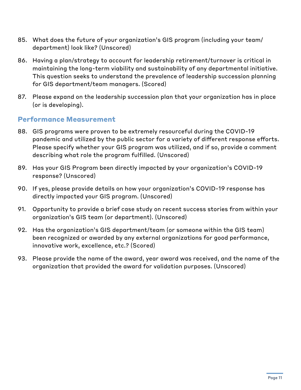- 85. What does the future of your organization's GIS program (including your team/ department) look like? (Unscored)
- 86. Having a plan/strategy to account for leadership retirement/turnover is critical in maintaining the long-term viability and sustainability of any departmental initiative. This question seeks to understand the prevalence of leadership succession planning for GIS department/team managers. (Scored)
- 87. Please expand on the leadership succession plan that your organization has in place (or is developing).

#### **Performance Measurement**

- 88. GIS programs were proven to be extremely resourceful during the COVID-19 pandemic and utilized by the public sector for a variety of different response efforts. Please specify whether your GIS program was utilized, and if so, provide a comment describing what role the program fulfilled. (Unscored)
- 89. Has your GIS Program been directly impacted by your organization's COVID-19 response? (Unscored)
- 90. If yes, please provide details on how your organization's COVID-19 response has directly impacted your GIS program. (Unscored)
- 91. Opportunity to provide a brief case study on recent success stories from within your organization's GIS team (or department). (Unscored)
- 92. Has the organization's GIS department/team (or someone within the GIS team) been recognized or awarded by any external organizations for good performance, innovative work, excellence, etc.? (Scored)
- 93. Please provide the name of the award, year award was received, and the name of the organization that provided the award for validation purposes. (Unscored)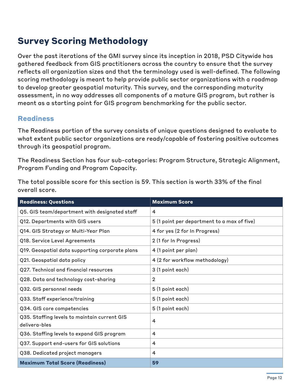# **Survey Scoring Methodology**

Over the past iterations of the GMI survey since its inception in 2018, PSD Citywide has gathered feedback from GIS practitioners across the country to ensure that the survey reflects all organization sizes and that the terminology used is well-defined. The following scoring methodology is meant to help provide public sector organizations with a roadmap to develop greater geospatial maturity. This survey, and the corresponding maturity assessment, in no way addresses all components of a mature GIS program, but rather is meant as a starting point for GIS program benchmarking for the public sector.

#### **Readiness**

The Readiness portion of the survey consists of unique questions designed to evaluate to what extent public sector organizations are ready/capable of fostering positive outcomes through its geospatial program.

The Readiness Section has four sub-categories: Program Structure, Strategic Alignment, Program Funding and Program Capacity.

The total possible score for this section is 59. This section is worth 33% of the final overall score.

| <b>Readiness: Questions</b>                                   | <b>Maximum Score</b>                        |
|---------------------------------------------------------------|---------------------------------------------|
| Q5. GIS team/department with designated staff                 | 4                                           |
| Q12. Departments with GIS users                               | 5 (1 point per department to a max of five) |
| Q14. GIS Strategy or Multi-Year Plan                          | 4 for yes (2 for In Progress)               |
| Q18. Service Level Agreements                                 | 2 (1 for In Progress)                       |
| Q19. Geospatial data supporting corporate plans               | 4 (1 point per plan)                        |
| Q21. Geospatial data policy                                   | 4 (2 for workflow methodology)              |
| Q27. Technical and financial resources                        | 3 (1 point each)                            |
| Q28. Data and technology cost-sharing                         | $\overline{2}$                              |
| Q32. GIS personnel needs                                      | 5 (1 point each)                            |
| Q33. Staff experience/training                                | 5 (1 point each)                            |
| Q34. GIS core competencies                                    | 5 (1 point each)                            |
| Q35. Staffing levels to maintain current GIS<br>delivera-bles | $\overline{4}$                              |
| Q36. Staffing levels to expand GIS program                    | 4                                           |
| Q37. Support end-users for GIS solutions                      | 4                                           |
| Q38. Dedicated project managers                               | 4                                           |
| <b>Maximum Total Score (Readiness)</b>                        | 59                                          |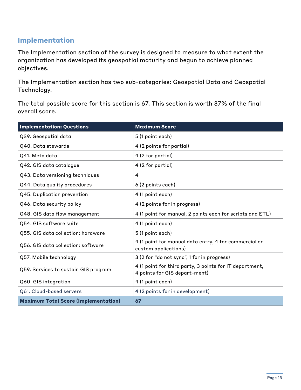# **Implementation**

The Implementation section of the survey is designed to measure to what extent the organization has developed its geospatial maturity and begun to achieve planned objectives.

The Implementation section has two sub-categories: Geospatial Data and Geospatial Technology.

The total possible score for this section is 67. This section is worth 37% of the final overall score.

| <b>Implementation: Questions</b>            | <b>Maximum Score</b>                                                                     |
|---------------------------------------------|------------------------------------------------------------------------------------------|
| Q39. Geospatial data                        | 5 (1 point each)                                                                         |
| Q40. Data stewards                          | 4 (2 points for partial)                                                                 |
| Q41. Meta data                              | 4 (2 for partial)                                                                        |
| Q42. GIS data catalogue                     | 4 (2 for partial)                                                                        |
| Q43. Data versioning techniques             | 4                                                                                        |
| Q44. Data quality procedures                | 6 (2 points each)                                                                        |
| Q45. Duplication prevention                 | 4 (1 point each)                                                                         |
| Q46. Data security policy                   | 4 (2 points for in progress)                                                             |
| Q48. GIS data flow management               | 4 (1 point for manual, 2 points each for scripts and ETL)                                |
| Q54. GIS software suite                     | 4 (1 point each)                                                                         |
| Q55. GIS data collection: hardware          | 5 (1 point each)                                                                         |
| Q56. GIS data collection: software          | 4 (1 point for manual data entry, 4 for commercial or<br>custom applications)            |
| Q57. Mobile technology                      | 3 (2 for "do not sync", 1 for in progress)                                               |
| Q59. Services to sustain GIS program        | 4 (1 point for third party, 3 points for IT department,<br>4 points for GIS depart-ment) |
| Q60. GIS integration                        | 4 (1 point each)                                                                         |
| Q61. Cloud-based servers                    | 4 (2 points for in development)                                                          |
| <b>Maximum Total Score (Implementation)</b> | 67                                                                                       |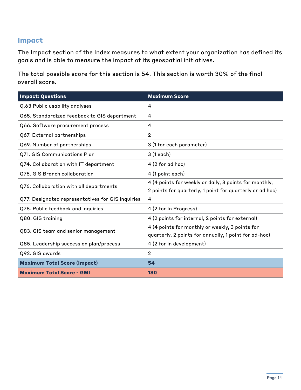# **Impact**

The Impact section of the Index measures to what extent your organization has defined its goals and is able to measure the impact of its geospatial initiatives.

The total possible score for this section is 54. This section is worth 30% of the final overall score.

| <b>Impact: Questions</b>                          | <b>Maximum Score</b>                                                                                               |
|---------------------------------------------------|--------------------------------------------------------------------------------------------------------------------|
| Q.63 Public usability analyses                    | 4                                                                                                                  |
| Q65. Standardized feedback to GIS department      | 4                                                                                                                  |
| Q66. Software procurement process                 | 4                                                                                                                  |
| Q67. External partnerships                        | $\overline{2}$                                                                                                     |
| Q69. Number of partnerships                       | 3 (1 for each parameter)                                                                                           |
| Q71. GIS Communications Plan                      | 3 (1 each)                                                                                                         |
| Q74. Collaboration with IT department             | $4(2$ for ad hoc)                                                                                                  |
| Q75. GIS Branch collaboration                     | 4 (1 point each)                                                                                                   |
| Q76. Collaboration with all departments           | 4 (4 points for weekly or daily, 3 points for monthly,<br>2 points for quarterly, 1 point for quarterly or ad hoc) |
| Q77. Designated representatives for GIS inquiries | 4                                                                                                                  |
| Q78. Public feedback and inquiries                | 4 (2 for In Progress)                                                                                              |
| Q80. GIS training                                 | 4 (2 points for internal, 2 points for external)                                                                   |
| Q83. GIS team and senior management               | 4 (4 points for monthly or weekly, 3 points for<br>quarterly, 2 points for annually, 1 point for ad-hoc)           |
| Q85. Leadership succession plan/process           | 4 (2 for in development)                                                                                           |
| Q92. GIS awards                                   | $\overline{2}$                                                                                                     |
| <b>Maximum Total Score (Impact)</b>               | 54                                                                                                                 |
| <b>Maximum Total Score - GMI</b>                  | 180                                                                                                                |